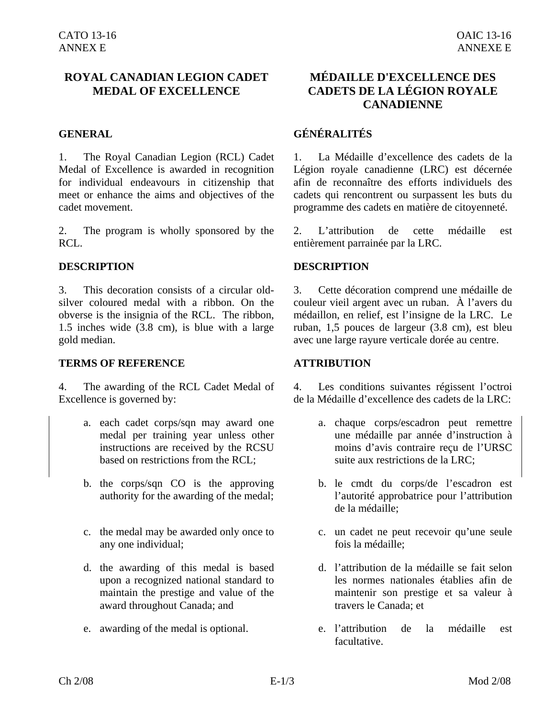# **ROYAL CANADIAN LEGION CADET MEDAL OF EXCELLENCE**

1. The Royal Canadian Legion (RCL) Cadet Medal of Excellence is awarded in recognition for individual endeavours in citizenship that meet or enhance the aims and objectives of the cadet movement.

2. The program is wholly sponsored by the RCL.

### **DESCRIPTION DESCRIPTION**

3. This decoration consists of a circular oldsilver coloured medal with a ribbon. On the obverse is the insignia of the RCL. The ribbon, 1.5 inches wide (3.8 cm), is blue with a large gold median.

### **TERMS OF REFERENCE ATTRIBUTION**

4. The awarding of the RCL Cadet Medal of Excellence is governed by:

- a. each cadet corps/sqn may award one medal per training year unless other instructions are received by the RCSU based on restrictions from the RCL;
- b. the corps/sqn CO is the approving authority for the awarding of the medal;
- c. the medal may be awarded only once to any one individual;
- d. the awarding of this medal is based upon a recognized national standard to maintain the prestige and value of the award throughout Canada; and
- 

# **MÉDAILLE D'EXCELLENCE DES CADETS DE LA LÉGION ROYALE CANADIENNE**

# **GENERAL GÉNÉRALITÉS**

1. La Médaille d'excellence des cadets de la Légion royale canadienne (LRC) est décernée afin de reconnaître des efforts individuels des cadets qui rencontrent ou surpassent les buts du programme des cadets en matière de citoyenneté.

2. L'attribution de cette médaille est entièrement parrainée par la LRC.

3. Cette décoration comprend une médaille de couleur vieil argent avec un ruban. À l'avers du médaillon, en relief, est l'insigne de la LRC. Le ruban, 1,5 pouces de largeur (3.8 cm), est bleu avec une large rayure verticale dorée au centre.

4. Les conditions suivantes régissent l'octroi de la Médaille d'excellence des cadets de la LRC:

- a. chaque corps/escadron peut remettre une médaille par année d'instruction à moins d'avis contraire reçu de l'URSC suite aux restrictions de la LRC;
- b. le cmdt du corps/de l'escadron est l'autorité approbatrice pour l'attribution de la médaille;
- c. un cadet ne peut recevoir qu'une seule fois la médaille;
- d. l'attribution de la médaille se fait selon les normes nationales établies afin de maintenir son prestige et sa valeur à travers le Canada; et
- e. awarding of the medal is optional. e. l'attribution de la médaille est facultative.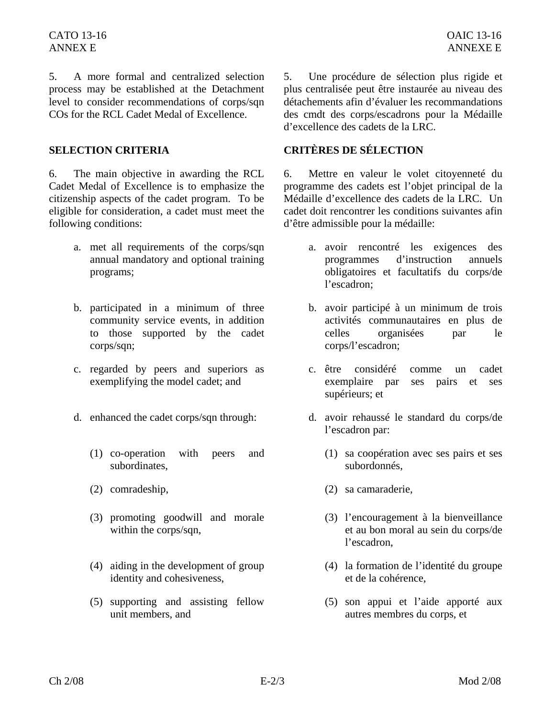5. A more formal and centralized selection process may be established at the Detachment level to consider recommendations of corps/sqn COs for the RCL Cadet Medal of Excellence.

6. The main objective in awarding the RCL Cadet Medal of Excellence is to emphasize the citizenship aspects of the cadet program. To be eligible for consideration, a cadet must meet the following conditions:

- a. met all requirements of the corps/sqn annual mandatory and optional training programs;
- b. participated in a minimum of three community service events, in addition to those supported by the cadet corps/sqn;
- c. regarded by peers and superiors as exemplifying the model cadet; and
- - (1) co-operation with peers and subordinates,
	-
	- (3) promoting goodwill and morale within the corps/sqn,
	- (4) aiding in the development of group identity and cohesiveness,
	- (5) supporting and assisting fellow unit members, and

5. Une procédure de sélection plus rigide et plus centralisée peut être instaurée au niveau des détachements afin d'évaluer les recommandations des cmdt des corps/escadrons pour la Médaille d'excellence des cadets de la LRC.

## **SELECTION CRITERIA CRITÈRES DE SÉLECTION**

6. Mettre en valeur le volet citoyenneté du programme des cadets est l'objet principal de la Médaille d'excellence des cadets de la LRC. Un cadet doit rencontrer les conditions suivantes afin d'être admissible pour la médaille:

- a. avoir rencontré les exigences des programmes d'instruction annuels obligatoires et facultatifs du corps/de l'escadron;
- b. avoir participé à un minimum de trois activités communautaires en plus de celles organisées par le corps/l'escadron;
- c. être considéré comme un cadet exemplaire par ses pairs et ses supérieurs; et
- d. enhanced the cadet corps/sqn through: d. avoir rehaussé le standard du corps/de l'escadron par:
	- (1) sa coopération avec ses pairs et ses subordonnés,
	- (2) comradeship, (2) sa camaraderie,
		- (3) l'encouragement à la bienveillance et au bon moral au sein du corps/de l'escadron,
		- (4) la formation de l'identité du groupe et de la cohérence,
		- (5) son appui et l'aide apporté aux autres membres du corps, et